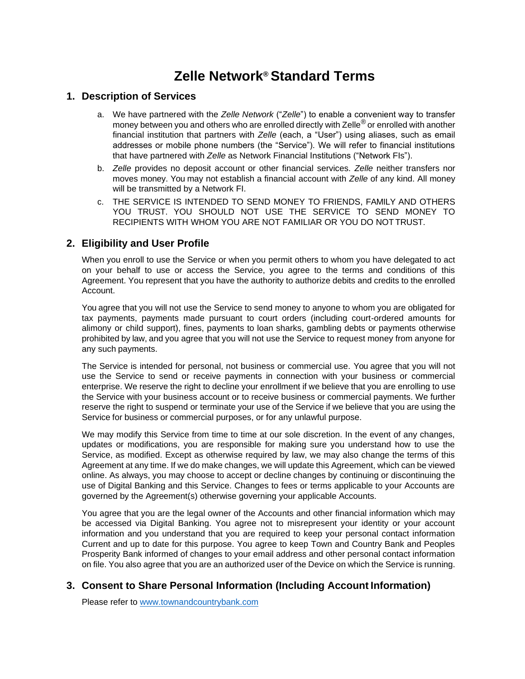# **Zelle Network® Standard Terms**

#### **1. Description of Services**

- a. We have partnered with the *Zelle Network* ("*Zelle*") to enable a convenient way to transfer money between you and others who are enrolled directly with Zelle<sup>®</sup> or enrolled with another financial institution that partners with *Zelle* (each, a "User") using aliases, such as email addresses or mobile phone numbers (the "Service"). We will refer to financial institutions that have partnered with *Zelle* as Network Financial Institutions ("Network FIs").
- b. *Zelle* provides no deposit account or other financial services. *Zelle* neither transfers nor moves money. You may not establish a financial account with *Zelle* of any kind. All money will be transmitted by a Network FI.
- c. THE SERVICE IS INTENDED TO SEND MONEY TO FRIENDS, FAMILY AND OTHERS YOU TRUST. YOU SHOULD NOT USE THE SERVICE TO SEND MONEY TO RECIPIENTS WITH WHOM YOU ARE NOT FAMILIAR OR YOU DO NOTTRUST.

### **2. Eligibility and User Profile**

When you enroll to use the Service or when you permit others to whom you have delegated to act on your behalf to use or access the Service, you agree to the terms and conditions of this Agreement. You represent that you have the authority to authorize debits and credits to the enrolled Account.

You agree that you will not use the Service to send money to anyone to whom you are obligated for tax payments, payments made pursuant to court orders (including court-ordered amounts for alimony or child support), fines, payments to loan sharks, gambling debts or payments otherwise prohibited by law, and you agree that you will not use the Service to request money from anyone for any such payments.

The Service is intended for personal, not business or commercial use. You agree that you will not use the Service to send or receive payments in connection with your business or commercial enterprise. We reserve the right to decline your enrollment if we believe that you are enrolling to use the Service with your business account or to receive business or commercial payments. We further reserve the right to suspend or terminate your use of the Service if we believe that you are using the Service for business or commercial purposes, or for any unlawful purpose.

We may modify this Service from time to time at our sole discretion. In the event of any changes, updates or modifications, you are responsible for making sure you understand how to use the Service, as modified. Except as otherwise required by law, we may also change the terms of this Agreement at any time. If we do make changes, we will update this Agreement, which can be viewed online. As always, you may choose to accept or decline changes by continuing or discontinuing the use of Digital Banking and this Service. Changes to fees or terms applicable to your Accounts are governed by the Agreement(s) otherwise governing your applicable Accounts.

You agree that you are the legal owner of the Accounts and other financial information which may be accessed via Digital Banking. You agree not to misrepresent your identity or your account information and you understand that you are required to keep your personal contact information Current and up to date for this purpose. You agree to keep Town and Country Bank and Peoples Prosperity Bank informed of changes to your email address and other personal contact information on file. You also agree that you are an authorized user of the Device on which the Service is running.

# **3. Consent to Share Personal Information (Including Account Information)**

Please refer to [www.townandcountrybank.com](http://www.townandcountrybank.com/)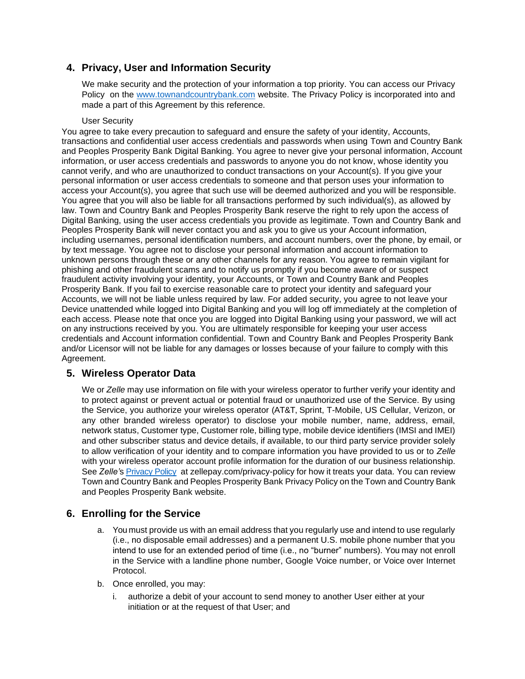# **4. Privacy, User and Information Security**

We make security and the protection of your information a top priority. You can access our Privacy Policy on the [www.townandcountrybank.com](http://www.townandcountrybank.com/) website. The Privacy Policy is incorporated into and made a part of this Agreement by this reference.

#### User Security

You agree to take every precaution to safeguard and ensure the safety of your identity, Accounts, transactions and confidential user access credentials and passwords when using Town and Country Bank and Peoples Prosperity Bank Digital Banking. You agree to never give your personal information, Account information, or user access credentials and passwords to anyone you do not know, whose identity you cannot verify, and who are unauthorized to conduct transactions on your Account(s). If you give your personal information or user access credentials to someone and that person uses your information to access your Account(s), you agree that such use will be deemed authorized and you will be responsible. You agree that you will also be liable for all transactions performed by such individual(s), as allowed by law. Town and Country Bank and Peoples Prosperity Bank reserve the right to rely upon the access of Digital Banking, using the user access credentials you provide as legitimate. Town and Country Bank and Peoples Prosperity Bank will never contact you and ask you to give us your Account information, including usernames, personal identification numbers, and account numbers, over the phone, by email, or by text message. You agree not to disclose your personal information and account information to unknown persons through these or any other channels for any reason. You agree to remain vigilant for phishing and other fraudulent scams and to notify us promptly if you become aware of or suspect fraudulent activity involving your identity, your Accounts, or Town and Country Bank and Peoples Prosperity Bank. If you fail to exercise reasonable care to protect your identity and safeguard your Accounts, we will not be liable unless required by law. For added security, you agree to not leave your Device unattended while logged into Digital Banking and you will log off immediately at the completion of each access. Please note that once you are logged into Digital Banking using your password, we will act on any instructions received by you. You are ultimately responsible for keeping your user access credentials and Account information confidential. Town and Country Bank and Peoples Prosperity Bank and/or Licensor will not be liable for any damages or losses because of your failure to comply with this Agreement.

# **5. Wireless Operator Data**

We or *Zelle* may use information on file with your wireless operator to further verify your identity and to protect against or prevent actual or potential fraud or unauthorized use of the Service. By using the Service, you authorize your wireless operator (AT&T, Sprint, T-Mobile, US Cellular, Verizon, or any other branded wireless operator) to disclose your mobile number, name, address, email, network status, Customer type, Customer role, billing type, mobile device identifiers (IMSI and IMEI) and other subscriber status and device details, if available, to our third party service provider solely to allow verification of your identity and to compare information you have provided to us or to *Zelle*  with your wireless operator account profile information for the duration of our business relationship. See *Zelle'*s [Privacy Policy](https://www.zellepay.com/privacy-policy) at [zellepay.](http://www.zellepay.com/privacy-policy)com/p[rivacy-policy](http://www.zellepay.com/privacy-policy) for how it treats your data. You can review Town and Country Bank and Peoples Prosperity Bank Privacy Policy on the Town and Country Bank and Peoples Prosperity Bank website.

# **6. Enrolling for the Service**

- a. You must provide us with an email address that you regularly use and intend to use regularly (i.e., no disposable email addresses) and a permanent U.S. mobile phone number that you intend to use for an extended period of time (i.e., no "burner" numbers). You may not enroll in the Service with a landline phone number, Google Voice number, or Voice over Internet Protocol.
- b. Once enrolled, you may:
	- i. authorize a debit of your account to send money to another User either at your initiation or at the request of that User; and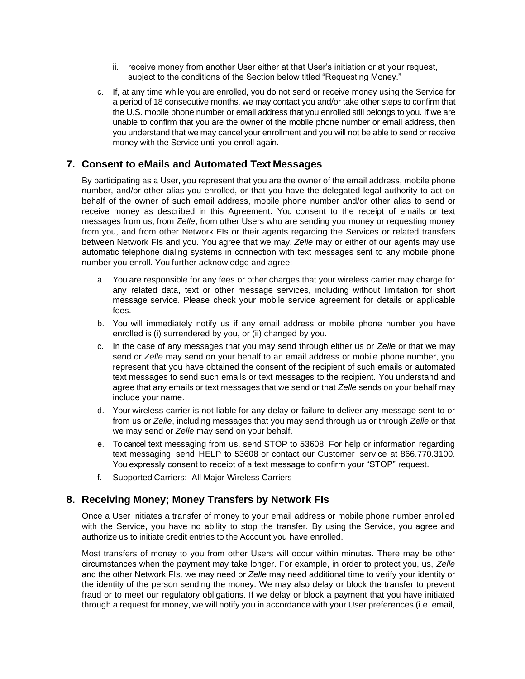- ii. receive money from another User either at that User's initiation or at your request, subject to the conditions of the Section below titled "Requesting Money."
- c. If, at any time while you are enrolled, you do not send or receive money using the Service for a period of 18 consecutive months, we may contact you and/or take other steps to confirm that the U.S. mobile phone number or email address that you enrolled still belongs to you. If we are unable to confirm that you are the owner of the mobile phone number or email address, then you understand that we may cancel your enrollment and you will not be able to send or receive money with the Service until you enroll again.

# **7. Consent to eMails and Automated Text Messages**

By participating as a User, you represent that you are the owner of the email address, mobile phone number, and/or other alias you enrolled, or that you have the delegated legal authority to act on behalf of the owner of such email address, mobile phone number and/or other alias to send or receive money as described in this Agreement. You consent to the receipt of emails or text messages from us, from *Zelle*, from other Users who are sending you money or requesting money from you, and from other Network FIs or their agents regarding the Services or related transfers between Network FIs and you. You agree that we may, *Zelle* may or either of our agents may use automatic telephone dialing systems in connection with text messages sent to any mobile phone number you enroll. You further acknowledge and agree:

- a. You are responsible for any fees or other charges that your wireless carrier may charge for any related data, text or other message services, including without limitation for short message service. Please check your mobile service agreement for details or applicable fees.
- b. You will immediately notify us if any email address or mobile phone number you have enrolled is (i) surrendered by you, or (ii) changed by you.
- c. In the case of any messages that you may send through either us or *Zelle* or that we may send or *Zelle* may send on your behalf to an email address or mobile phone number, you represent that you have obtained the consent of the recipient of such emails or automated text messages to send such emails or text messages to the recipient. You understand and agree that any emails or text messages that we send or that *Zelle* sends on your behalf may include your name.
- d. Your wireless carrier is not liable for any delay or failure to deliver any message sent to or from us or *Zelle*, including messages that you may send through us or through *Zelle* or that we may send or *Zelle* may send on your behalf.
- e. To cancel text messaging from us, send STOP to 53608. For help or information regarding text messaging, send HELP to 53608 or contact our Customer service at 866.770.3100. You expressly consent to receipt of a text message to confirm your "STOP" request.
- f. Supported Carriers: All Major Wireless Carriers

#### **8. Receiving Money; Money Transfers by Network FIs**

Once a User initiates a transfer of money to your email address or mobile phone number enrolled with the Service, you have no ability to stop the transfer. By using the Service, you agree and authorize us to initiate credit entries to the Account you have enrolled.

Most transfers of money to you from other Users will occur within minutes. There may be other circumstances when the payment may take longer. For example, in order to protect you, us, *Zelle*  and the other Network FIs*,* we may need or *Zelle* may need additional time to verify your identity or the identity of the person sending the money. We may also delay or block the transfer to prevent fraud or to meet our regulatory obligations. If we delay or block a payment that you have initiated through a request for money, we will notify you in accordance with your User preferences (i.e. email,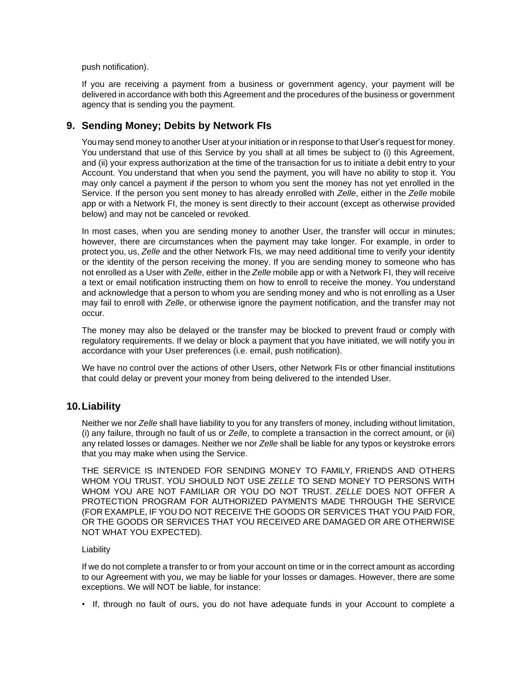push notification).

If you are receiving a payment from a business or government agency, your payment will be delivered in accordance with both this Agreement and the procedures of the business or government agency that is sending you the payment.

#### **9. Sending Money; Debits by Network FIs**

You may send money to another User at your initiation or in response to that User's request for money. You understand that use of this Service by you shall at all times be subject to (i) this Agreement, and (ii) your express authorization at the time of the transaction for us to initiate a debit entry to your Account. You understand that when you send the payment, you will have no ability to stop it. You may only cancel a payment if the person to whom you sent the money has not yet enrolled in the Service. If the person you sent money to has already enrolled with *Zelle*, either in the *Zelle* mobile app or with a Network FI, the money is sent directly to their account (except as otherwise provided below) and may not be canceled or revoked.

In most cases, when you are sending money to another User, the transfer will occur in minutes; however, there are circumstances when the payment may take longer. For example, in order to protect you, us, *Zelle* and the other Network FIs*,* we may need additional time to verify your identity or the identity of the person receiving the money. If you are sending money to someone who has not enrolled as a User with *Zelle*, either in the *Zelle* mobile app or with a Network FI, they will receive a text or email notification instructing them on how to enroll to receive the money. You understand and acknowledge that a person to whom you are sending money and who is not enrolling as a User may fail to enroll with *Zelle*, or otherwise ignore the payment notification, and the transfer may not occur.

The money may also be delayed or the transfer may be blocked to prevent fraud or comply with regulatory requirements. If we delay or block a payment that you have initiated, we will notify you in accordance with your User preferences (i.e. email, push notification).

We have no control over the actions of other Users, other Network FIs or other financial institutions that could delay or prevent your money from being delivered to the intended User.

#### **10.Liability**

Neither we nor *Zelle* shall have liability to you for any transfers of money, including without limitation, (i) any failure, through no fault of us or *Zelle*, to complete a transaction in the correct amount, or (ii) any related losses or damages. Neither we nor *Zelle* shall be liable for any typos or keystroke errors that you may make when using the Service.

THE SERVICE IS INTENDED FOR SENDING MONEY TO FAMILY, FRIENDS AND OTHERS WHOM YOU TRUST. YOU SHOULD NOT USE *ZELLE* TO SEND MONEY TO PERSONS WITH WHOM YOU ARE NOT FAMILIAR OR YOU DO NOT TRUST. *ZELLE* DOES NOT OFFER A PROTECTION PROGRAM FOR AUTHORIZED PAYMENTS MADE THROUGH THE SERVICE (FOR EXAMPLE, IF YOU DO NOT RECEIVE THE GOODS OR SERVICES THAT YOU PAID FOR, OR THE GOODS OR SERVICES THAT YOU RECEIVED ARE DAMAGED OR ARE OTHERWISE NOT WHAT YOU EXPECTED).

#### Liability

If we do not complete a transfer to or from your account on time or in the correct amount as according to our Agreement with you, we may be liable for your losses or damages. However, there are some exceptions. We will NOT be liable, for instance:

• If, through no fault of ours, you do not have adequate funds in your Account to complete a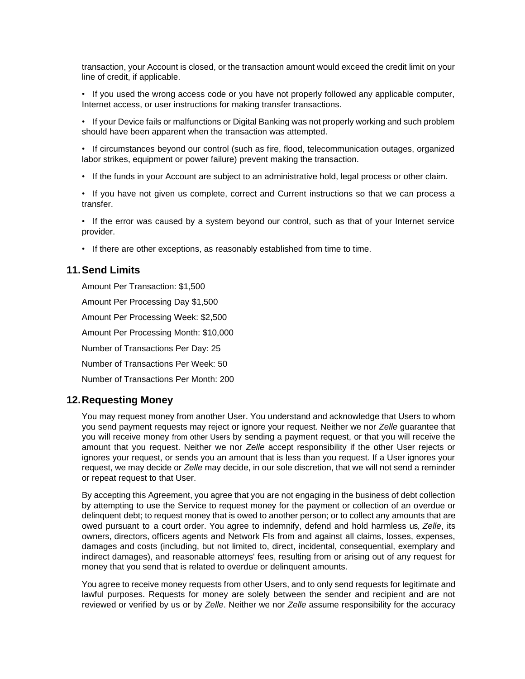transaction, your Account is closed, or the transaction amount would exceed the credit limit on your line of credit, if applicable.

- If you used the wrong access code or you have not properly followed any applicable computer, Internet access, or user instructions for making transfer transactions.
- If your Device fails or malfunctions or Digital Banking was not properly working and such problem should have been apparent when the transaction was attempted.
- If circumstances beyond our control (such as fire, flood, telecommunication outages, organized labor strikes, equipment or power failure) prevent making the transaction.
- If the funds in your Account are subject to an administrative hold, legal process or other claim.
- If you have not given us complete, correct and Current instructions so that we can process a transfer.
- If the error was caused by a system beyond our control, such as that of your Internet service provider.
- If there are other exceptions, as reasonably established from time to time.

#### **11.Send Limits**

Amount Per Transaction: \$1,500 Amount Per Processing Day \$1,500 Amount Per Processing Week: \$2,500 Amount Per Processing Month: \$10,000 Number of Transactions Per Day: 25 Number of Transactions Per Week: 50 Number of Transactions Per Month: 200

#### **12.Requesting Money**

You may request money from another User. You understand and acknowledge that Users to whom you send payment requests may reject or ignore your request. Neither we nor *Zelle* guarantee that you will receive money from other Users by sending a payment request, or that you will receive the amount that you request. Neither we nor *Zelle* accept responsibility if the other User rejects or ignores your request, or sends you an amount that is less than you request. If a User ignores your request, we may decide or *Zelle* may decide, in our sole discretion, that we will not send a reminder or repeat request to that User.

By accepting this Agreement, you agree that you are not engaging in the business of debt collection by attempting to use the Service to request money for the payment or collection of an overdue or delinquent debt; to request money that is owed to another person; or to collect any amounts that are owed pursuant to a court order. You agree to indemnify, defend and hold harmless us, *Zelle*, its owners, directors, officers agents and Network FIs from and against all claims, losses, expenses, damages and costs (including, but not limited to, direct, incidental, consequential, exemplary and indirect damages), and reasonable attorneys' fees, resulting from or arising out of any request for money that you send that is related to overdue or delinquent amounts.

You agree to receive money requests from other Users, and to only send requests for legitimate and lawful purposes. Requests for money are solely between the sender and recipient and are not reviewed or verified by us or by *Zelle*. Neither we nor *Zelle* assume responsibility for the accuracy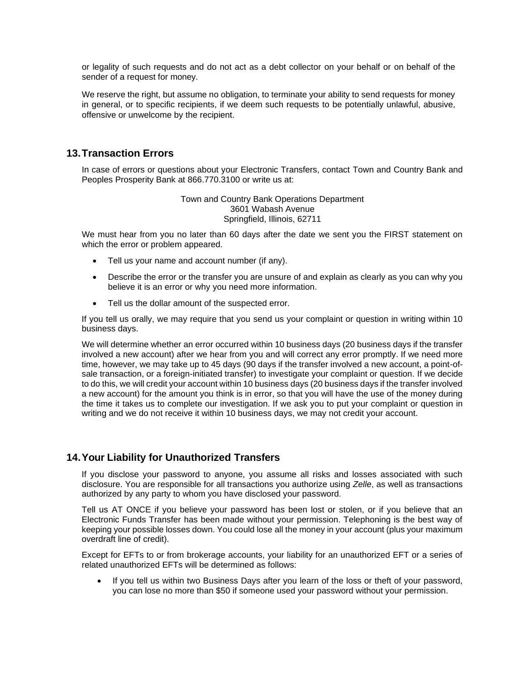or legality of such requests and do not act as a debt collector on your behalf or on behalf of the sender of a request for money.

We reserve the right, but assume no obligation, to terminate your ability to send requests for money in general, or to specific recipients, if we deem such requests to be potentially unlawful, abusive, offensive or unwelcome by the recipient.

#### **13.Transaction Errors**

In case of errors or questions about your Electronic Transfers, contact Town and Country Bank and Peoples Prosperity Bank at 866.770.3100 or write us at:

> Town and Country Bank Operations Department 3601 Wabash Avenue Springfield, Illinois, 62711

We must hear from you no later than 60 days after the date we sent you the FIRST statement on which the error or problem appeared.

- Tell us your name and account number (if any).
- Describe the error or the transfer you are unsure of and explain as clearly as you can why you believe it is an error or why you need more information.
- Tell us the dollar amount of the suspected error.

If you tell us orally, we may require that you send us your complaint or question in writing within 10 business days.

We will determine whether an error occurred within 10 business days (20 business days if the transfer involved a new account) after we hear from you and will correct any error promptly. If we need more time, however, we may take up to 45 days (90 days if the transfer involved a new account, a point-ofsale transaction, or a foreign-initiated transfer) to investigate your complaint or question. If we decide to do this, we will credit your account within 10 business days (20 business days if the transfer involved a new account) for the amount you think is in error, so that you will have the use of the money during the time it takes us to complete our investigation. If we ask you to put your complaint or question in writing and we do not receive it within 10 business days, we may not credit your account.

#### **14.Your Liability for Unauthorized Transfers**

If you disclose your password to anyone, you assume all risks and losses associated with such disclosure. You are responsible for all transactions you authorize using *Zelle*, as well as transactions authorized by any party to whom you have disclosed your password.

Tell us AT ONCE if you believe your password has been lost or stolen, or if you believe that an Electronic Funds Transfer has been made without your permission. Telephoning is the best way of keeping your possible losses down. You could lose all the money in your account (plus your maximum overdraft line of credit).

Except for EFTs to or from brokerage accounts, your liability for an unauthorized EFT or a series of related unauthorized EFTs will be determined as follows:

• If you tell us within two Business Days after you learn of the loss or theft of your password, you can lose no more than \$50 if someone used your password without your permission.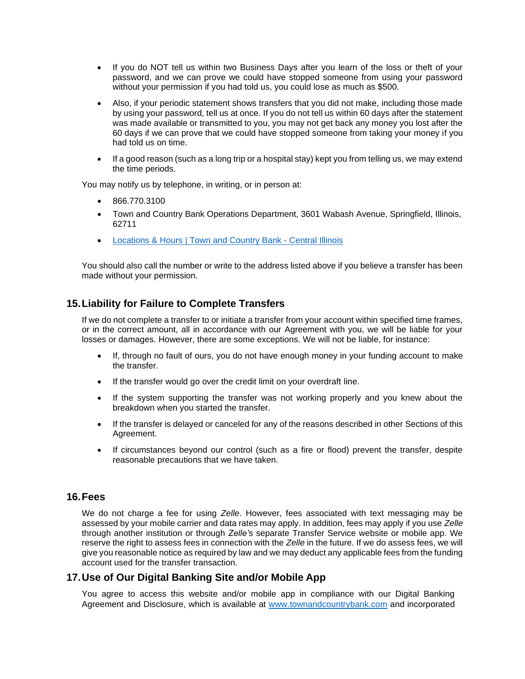- If you do NOT tell us within two Business Days after you learn of the loss or theft of your password, and we can prove we could have stopped someone from using your password without your permission if you had told us, you could lose as much as \$500.
- Also, if your periodic statement shows transfers that you did not make, including those made by using your password, tell us at once. If you do not tell us within 60 days after the statement was made available or transmitted to you, you may not get back any money you lost after the 60 days if we can prove that we could have stopped someone from taking your money if you had told us on time.
- If a good reason (such as a long trip or a hospital stay) kept you from telling us, we may extend the time periods.

You may notify us by telephone, in writing, or in person at:

- 866.770.3100
- Town and Country Bank Operations Department, 3601 Wabash Avenue, Springfield, Illinois, 62711
- [Locations & Hours | Town and Country Bank -](https://www.townandcountrybank.com/about-us/locations-hours/) Central Illinois

You should also call the number or write to the address listed above if you believe a transfer has been made without your permission.

# **15.Liability for Failure to Complete Transfers**

If we do not complete a transfer to or initiate a transfer from your account within specified time frames, or in the correct amount, all in accordance with our Agreement with you, we will be liable for your losses or damages. However, there are some exceptions. We will not be liable, for instance:

- If, through no fault of ours, you do not have enough money in your funding account to make the transfer.
- If the transfer would go over the credit limit on your overdraft line.
- If the system supporting the transfer was not working properly and you knew about the breakdown when you started the transfer.
- If the transfer is delayed or canceled for any of the reasons described in other Sections of this Agreement.
- If circumstances beyond our control (such as a fire or flood) prevent the transfer, despite reasonable precautions that we have taken.

#### **16.Fees**

We do not charge a fee for using *Zelle*. However, fees associated with text messaging may be assessed by your mobile carrier and data rates may apply. In addition, fees may apply if you use *Zelle* through another institution or through *Zelle'*s separate Transfer Service website or mobile app. We reserve the right to assess fees in connection with the *Zelle* in the future. If we do assess fees, we will give you reasonable notice as required by law and we may deduct any applicable fees from the funding account used for the transfer transaction.

#### **17.Use of Our Digital Banking Site and/or Mobile App**

You agree to access this website and/or mobile app in compliance with our Digital Banking Agreement and Disclosure, which is available at [www.townandcountrybank.com](http://www.townandcountrybank.com/) and incorporated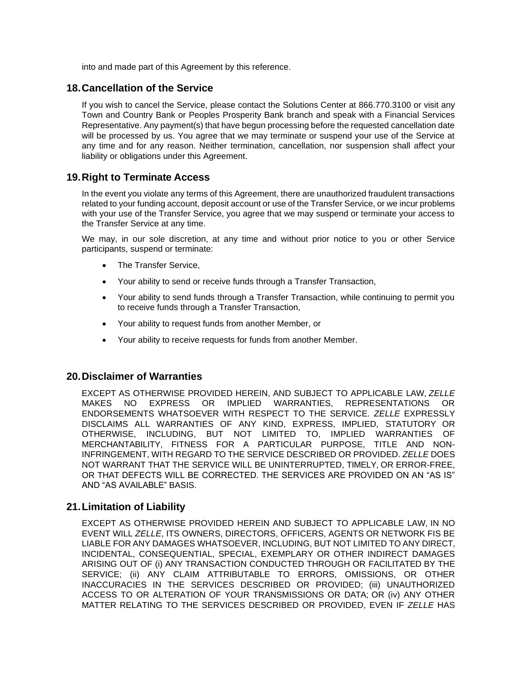into and made part of this Agreement by this reference.

#### **18.Cancellation of the Service**

If you wish to cancel the Service, please contact the Solutions Center at 866.770.3100 or visit any Town and Country Bank or Peoples Prosperity Bank branch and speak with a Financial Services Representative. Any payment(s) that have begun processing before the requested cancellation date will be processed by us. You agree that we may terminate or suspend your use of the Service at any time and for any reason. Neither termination, cancellation, nor suspension shall affect your liability or obligations under this Agreement.

# **19.Right to Terminate Access**

In the event you violate any terms of this Agreement, there are unauthorized fraudulent transactions related to your funding account, deposit account or use of the Transfer Service, or we incur problems with your use of the Transfer Service, you agree that we may suspend or terminate your access to the Transfer Service at any time.

We may, in our sole discretion, at any time and without prior notice to you or other Service participants, suspend or terminate:

- The Transfer Service,
- Your ability to send or receive funds through a Transfer Transaction,
- Your ability to send funds through a Transfer Transaction, while continuing to permit you to receive funds through a Transfer Transaction,
- Your ability to request funds from another Member, or
- Your ability to receive requests for funds from another Member.

#### **20.Disclaimer of Warranties**

EXCEPT AS OTHERWISE PROVIDED HEREIN, AND SUBJECT TO APPLICABLE LAW, *ZELLE*  MAKES NO EXPRESS OR IMPLIED WARRANTIES, REPRESENTATIONS OR ENDORSEMENTS WHATSOEVER WITH RESPECT TO THE SERVICE. *ZELLE* EXPRESSLY DISCLAIMS ALL WARRANTIES OF ANY KIND, EXPRESS, IMPLIED, STATUTORY OR OTHERWISE, INCLUDING, BUT NOT LIMITED TO, IMPLIED WARRANTIES OF MERCHANTABILITY, FITNESS FOR A PARTICULAR PURPOSE, TITLE AND NON-INFRINGEMENT, WITH REGARD TO THE SERVICE DESCRIBED OR PROVIDED. *ZELLE* DOES NOT WARRANT THAT THE SERVICE WILL BE UNINTERRUPTED, TIMELY, OR ERROR-FREE, OR THAT DEFECTS WILL BE CORRECTED. THE SERVICES ARE PROVIDED ON AN "AS IS" AND "AS AVAILABLE" BASIS.

#### **21.Limitation of Liability**

EXCEPT AS OTHERWISE PROVIDED HEREIN AND SUBJECT TO APPLICABLE LAW, IN NO EVENT WILL *ZELLE*, ITS OWNERS, DIRECTORS, OFFICERS, AGENTS OR NETWORK FIS BE LIABLE FOR ANY DAMAGES WHATSOEVER, INCLUDING, BUT NOT LIMITED TO ANY DIRECT, INCIDENTAL, CONSEQUENTIAL, SPECIAL, EXEMPLARY OR OTHER INDIRECT DAMAGES ARISING OUT OF (i) ANY TRANSACTION CONDUCTED THROUGH OR FACILITATED BY THE SERVICE; (ii) ANY CLAIM ATTRIBUTABLE TO ERRORS, OMISSIONS, OR OTHER INACCURACIES IN THE SERVICES DESCRIBED OR PROVIDED; (iii) UNAUTHORIZED ACCESS TO OR ALTERATION OF YOUR TRANSMISSIONS OR DATA; OR (iv) ANY OTHER MATTER RELATING TO THE SERVICES DESCRIBED OR PROVIDED, EVEN IF *ZELLE* HAS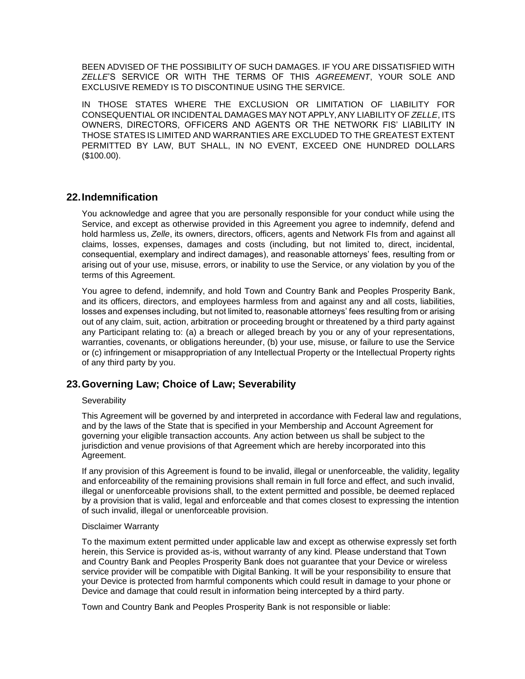BEEN ADVISED OF THE POSSIBILITY OF SUCH DAMAGES. IF YOU ARE DISSATISFIED WITH *ZELLE*'S SERVICE OR WITH THE TERMS OF THIS *AGREEMENT*, YOUR SOLE AND EXCLUSIVE REMEDY IS TO DISCONTINUE USING THE SERVICE.

IN THOSE STATES WHERE THE EXCLUSION OR LIMITATION OF LIABILITY FOR CONSEQUENTIAL OR INCIDENTAL DAMAGES MAY NOTAPPLY,ANY LIABILITY OF *ZELLE*, ITS OWNERS, DIRECTORS, OFFICERS AND AGENTS OR THE NETWORK FIS' LIABILITY IN THOSE STATES IS LIMITED AND WARRANTIES ARE EXCLUDED TO THE GREATEST EXTENT PERMITTED BY LAW, BUT SHALL, IN NO EVENT, EXCEED ONE HUNDRED DOLLARS (\$100.00).

#### **22.Indemnification**

You acknowledge and agree that you are personally responsible for your conduct while using the Service, and except as otherwise provided in this Agreement you agree to indemnify, defend and hold harmless us, *Zelle*, its owners, directors, officers, agents and Network FIs from and against all claims, losses, expenses, damages and costs (including, but not limited to, direct, incidental, consequential, exemplary and indirect damages), and reasonable attorneys' fees, resulting from or arising out of your use, misuse, errors, or inability to use the Service, or any violation by you of the terms of this Agreement.

You agree to defend, indemnify, and hold Town and Country Bank and Peoples Prosperity Bank, and its officers, directors, and employees harmless from and against any and all costs, liabilities, losses and expenses including, but not limited to, reasonable attorneys' fees resulting from or arising out of any claim, suit, action, arbitration or proceeding brought or threatened by a third party against any Participant relating to: (a) a breach or alleged breach by you or any of your representations, warranties, covenants, or obligations hereunder, (b) your use, misuse, or failure to use the Service or (c) infringement or misappropriation of any Intellectual Property or the Intellectual Property rights of any third party by you.

# **23.Governing Law; Choice of Law; Severability**

#### **Severability**

This Agreement will be governed by and interpreted in accordance with Federal law and regulations, and by the laws of the State that is specified in your Membership and Account Agreement for governing your eligible transaction accounts. Any action between us shall be subject to the jurisdiction and venue provisions of that Agreement which are hereby incorporated into this Agreement.

If any provision of this Agreement is found to be invalid, illegal or unenforceable, the validity, legality and enforceability of the remaining provisions shall remain in full force and effect, and such invalid, illegal or unenforceable provisions shall, to the extent permitted and possible, be deemed replaced by a provision that is valid, legal and enforceable and that comes closest to expressing the intention of such invalid, illegal or unenforceable provision.

#### Disclaimer Warranty

To the maximum extent permitted under applicable law and except as otherwise expressly set forth herein, this Service is provided as-is, without warranty of any kind. Please understand that Town and Country Bank and Peoples Prosperity Bank does not guarantee that your Device or wireless service provider will be compatible with Digital Banking. It will be your responsibility to ensure that your Device is protected from harmful components which could result in damage to your phone or Device and damage that could result in information being intercepted by a third party.

Town and Country Bank and Peoples Prosperity Bank is not responsible or liable: